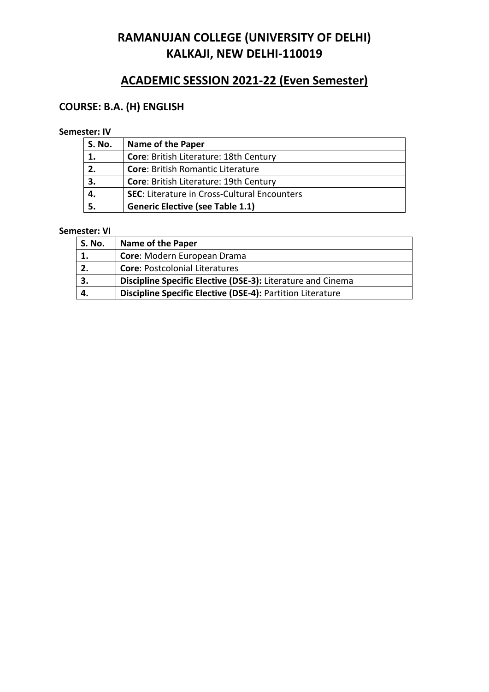# **ACADEMIC SESSION 2021-22 (Even Semester)**

## **COURSE: B.A. (H) ENGLISH**

## **Semester: IV**

| <b>S. No.</b> | <b>Name of the Paper</b>                            |
|---------------|-----------------------------------------------------|
| 1.            | Core: British Literature: 18th Century              |
| 2.            | <b>Core: British Romantic Literature</b>            |
| 3.            | Core: British Literature: 19th Century              |
| 4.            | <b>SEC: Literature in Cross-Cultural Encounters</b> |
|               | <b>Generic Elective (see Table 1.1)</b>             |

| S. No. | <b>Name of the Paper</b>                                    |
|--------|-------------------------------------------------------------|
|        | Core: Modern European Drama                                 |
| 2.     | <b>Core: Postcolonial Literatures</b>                       |
|        | Discipline Specific Elective (DSE-3): Literature and Cinema |
|        | Discipline Specific Elective (DSE-4): Partition Literature  |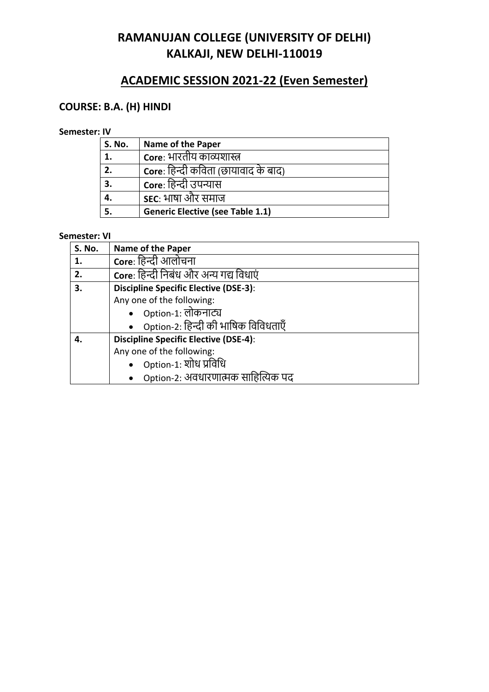# **ACADEMIC SESSION 2021-22 (Even Semester)**

## **COURSE: B.A. (H) HINDI**

## **Semester: IV**

| <b>S. No.</b> | <b>Name of the Paper</b>                    |
|---------------|---------------------------------------------|
| 1.            | Core: भारतीय काव्यशास्त्र                   |
| 2.            | <b>Core</b> : हिन्दी कविता (छायावाद के बाद) |
| 3.            | Core: हिन्दी उपन्यास                        |
| 4.            | <b>SEC: भाषा और समाज</b>                    |
|               | <b>Generic Elective (see Table 1.1)</b>     |

| <b>S. No.</b> | <b>Name of the Paper</b>                     |
|---------------|----------------------------------------------|
| 1.            | Core: हिन्दी आलोचना                          |
| 2.            | Core: हिन्दी निबंध और अन्य गद्य विधाएं       |
| 3.            | <b>Discipline Specific Elective (DSE-3):</b> |
|               | Any one of the following:                    |
|               | Option-1: लोकनाट्य                           |
|               | Option-2: हिन्दी की भाषिक विविधताएँ          |
| 4.            | <b>Discipline Specific Elective (DSE-4):</b> |
|               | Any one of the following:                    |
|               | Option-1: शोध प्रविधि                        |
|               | Option-2: अवधारणात्मक साहित्यिक पद           |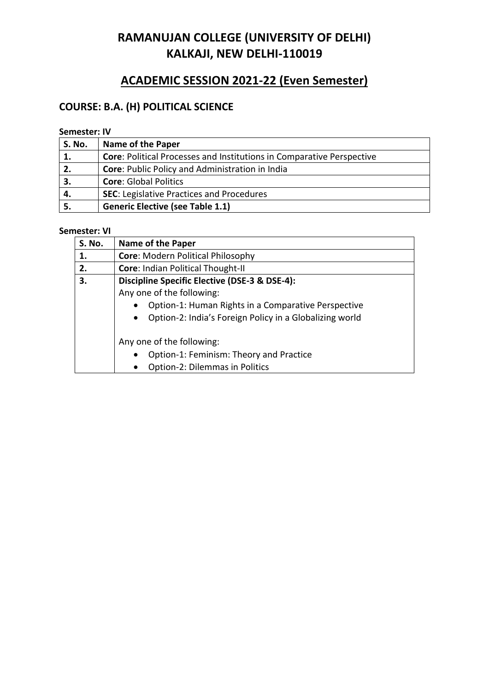# **ACADEMIC SESSION 2021-22 (Even Semester)**

## **COURSE: B.A. (H) POLITICAL SCIENCE**

## **Semester: IV**

| <b>S. No.</b> | <b>Name of the Paper</b>                                                     |
|---------------|------------------------------------------------------------------------------|
| 1.            | <b>Core: Political Processes and Institutions in Comparative Perspective</b> |
| 2.            | <b>Core: Public Policy and Administration in India</b>                       |
| З.            | <b>Core: Global Politics</b>                                                 |
| 4.            | <b>SEC: Legislative Practices and Procedures</b>                             |
|               | <b>Generic Elective (see Table 1.1)</b>                                      |

| <b>S. No.</b> | Name of the Paper                                                    |
|---------------|----------------------------------------------------------------------|
| 1.            | <b>Core: Modern Political Philosophy</b>                             |
| 2.            | Core: Indian Political Thought-II                                    |
| З.            | Discipline Specific Elective (DSE-3 & DSE-4):                        |
|               | Any one of the following:                                            |
|               | Option-1: Human Rights in a Comparative Perspective<br>$\bullet$     |
|               | Option-2: India's Foreign Policy in a Globalizing world<br>$\bullet$ |
|               | Any one of the following:                                            |
|               | Option-1: Feminism: Theory and Practice<br>$\bullet$                 |
|               | Option-2: Dilemmas in Politics<br>$\bullet$                          |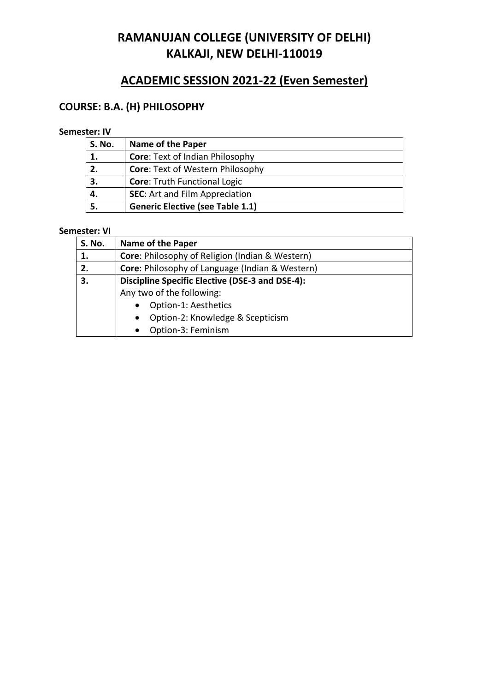# **ACADEMIC SESSION 2021-22 (Even Semester)**

## **COURSE: B.A. (H) PHILOSOPHY**

## **Semester: IV**

| <b>S. No.</b> | <b>Name of the Paper</b>                |
|---------------|-----------------------------------------|
| 1.            | <b>Core: Text of Indian Philosophy</b>  |
| 2.            | <b>Core: Text of Western Philosophy</b> |
| 3.            | <b>Core: Truth Functional Logic</b>     |
| 4.            | <b>SEC:</b> Art and Film Appreciation   |
|               | <b>Generic Elective (see Table 1.1)</b> |

| <b>S. No.</b> | Name of the Paper                                      |
|---------------|--------------------------------------------------------|
| 1.            | <b>Core:</b> Philosophy of Religion (Indian & Western) |
| 2.            | Core: Philosophy of Language (Indian & Western)        |
| 3.            | <b>Discipline Specific Elective (DSE-3 and DSE-4):</b> |
|               | Any two of the following:                              |
|               | Option-1: Aesthetics                                   |
|               | Option-2: Knowledge & Scepticism<br>$\bullet$          |
|               | Option-3: Feminism                                     |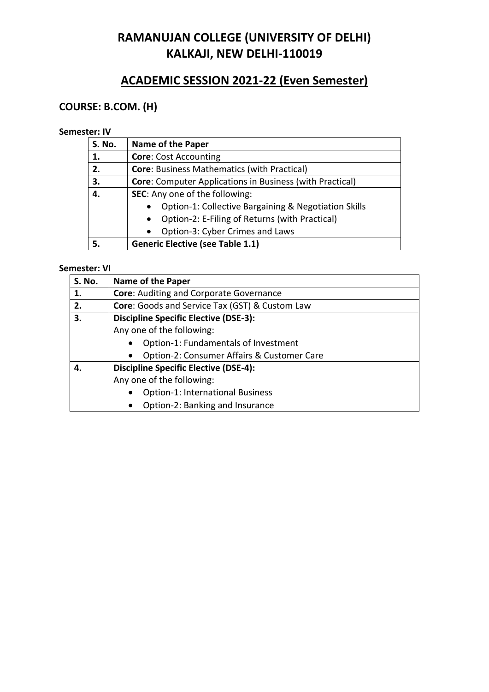# **ACADEMIC SESSION 2021-22 (Even Semester)**

## **COURSE: B.COM. (H)**

## **Semester: IV**

| S. No. | <b>Name of the Paper</b>                                        |
|--------|-----------------------------------------------------------------|
| 1.     | <b>Core: Cost Accounting</b>                                    |
| 2.     | <b>Core: Business Mathematics (with Practical)</b>              |
| 3.     | <b>Core:</b> Computer Applications in Business (with Practical) |
| 4.     | SEC: Any one of the following:                                  |
|        | Option-1: Collective Bargaining & Negotiation Skills            |
|        | Option-2: E-Filing of Returns (with Practical)<br>$\bullet$     |
|        | Option-3: Cyber Crimes and Laws<br>$\bullet$                    |
|        | <b>Generic Elective (see Table 1.1)</b>                         |

| <b>S. No.</b> | Name of the Paper                              |
|---------------|------------------------------------------------|
| 1.            | <b>Core: Auditing and Corporate Governance</b> |
| 2.            | Core: Goods and Service Tax (GST) & Custom Law |
| 3.            | <b>Discipline Specific Elective (DSE-3):</b>   |
|               | Any one of the following:                      |
|               | Option-1: Fundamentals of Investment           |
|               | Option-2: Consumer Affairs & Customer Care     |
| 4.            | <b>Discipline Specific Elective (DSE-4):</b>   |
|               | Any one of the following:                      |
|               | <b>Option-1: International Business</b>        |
|               | Option-2: Banking and Insurance<br>$\bullet$   |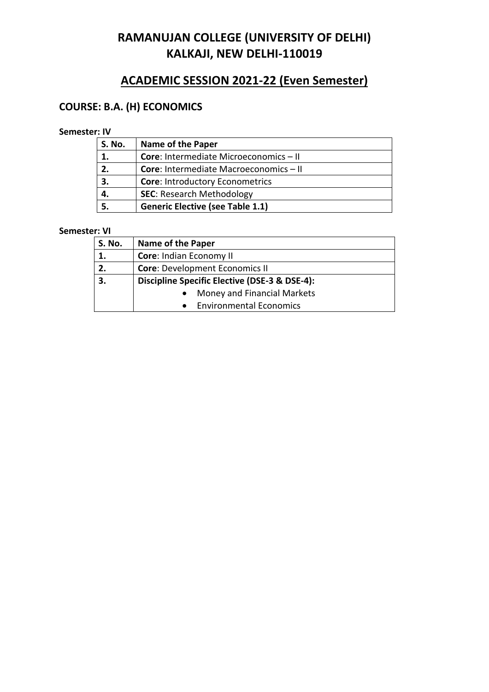# **ACADEMIC SESSION 2021-22 (Even Semester)**

## **COURSE: B.A. (H) ECONOMICS**

## **Semester: IV**

| <b>S. No.</b> | <b>Name of the Paper</b>                      |
|---------------|-----------------------------------------------|
|               | <b>Core: Intermediate Microeconomics - II</b> |
| 2.            | <b>Core:</b> Intermediate Macroeconomics - II |
| 3.            | <b>Core: Introductory Econometrics</b>        |
|               | <b>SEC: Research Methodology</b>              |
|               | <b>Generic Elective (see Table 1.1)</b>       |

| <b>S. No.</b> | <b>Name of the Paper</b>                      |
|---------------|-----------------------------------------------|
| 1.            | Core: Indian Economy II                       |
| 2.            | <b>Core: Development Economics II</b>         |
| 3.            | Discipline Specific Elective (DSE-3 & DSE-4): |
|               | Money and Financial Markets                   |
|               | <b>Environmental Economics</b>                |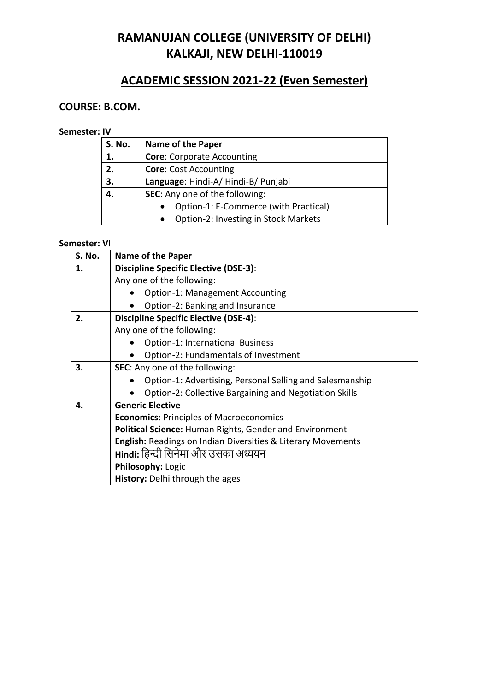# **ACADEMIC SESSION 2021-22 (Even Semester)**

## **COURSE: B.COM.**

### **Semester: IV**

| <b>S. No.</b> | Name of the Paper                                  |  |
|---------------|----------------------------------------------------|--|
| 1.            | <b>Core: Corporate Accounting</b>                  |  |
| 2.            | <b>Core: Cost Accounting</b>                       |  |
| 3.            | Language: Hindi-A/Hindi-B/Punjabi                  |  |
| 4.            | <b>SEC:</b> Any one of the following:              |  |
|               | Option-1: E-Commerce (with Practical)<br>$\bullet$ |  |
|               | Option-2: Investing in Stock Markets<br>$\bullet$  |  |

| <b>S. No.</b> | Name of the Paper                                                       |  |
|---------------|-------------------------------------------------------------------------|--|
| 1.            | <b>Discipline Specific Elective (DSE-3):</b>                            |  |
|               | Any one of the following:                                               |  |
|               | <b>Option-1: Management Accounting</b>                                  |  |
|               | Option-2: Banking and Insurance                                         |  |
| 2.            | <b>Discipline Specific Elective (DSE-4):</b>                            |  |
|               | Any one of the following:                                               |  |
|               | <b>Option-1: International Business</b>                                 |  |
|               | Option-2: Fundamentals of Investment                                    |  |
| 3.            | <b>SEC:</b> Any one of the following:                                   |  |
|               | Option-1: Advertising, Personal Selling and Salesmanship                |  |
|               | <b>Option-2: Collective Bargaining and Negotiation Skills</b>           |  |
| 4.            | <b>Generic Elective</b>                                                 |  |
|               | <b>Economics: Principles of Macroeconomics</b>                          |  |
|               | Political Science: Human Rights, Gender and Environment                 |  |
|               | <b>English: Readings on Indian Diversities &amp; Literary Movements</b> |  |
|               | Hindi: हिन्दी सिनेमा और उसका अध्ययन                                     |  |
|               | Philosophy: Logic                                                       |  |
|               | <b>History:</b> Delhi through the ages                                  |  |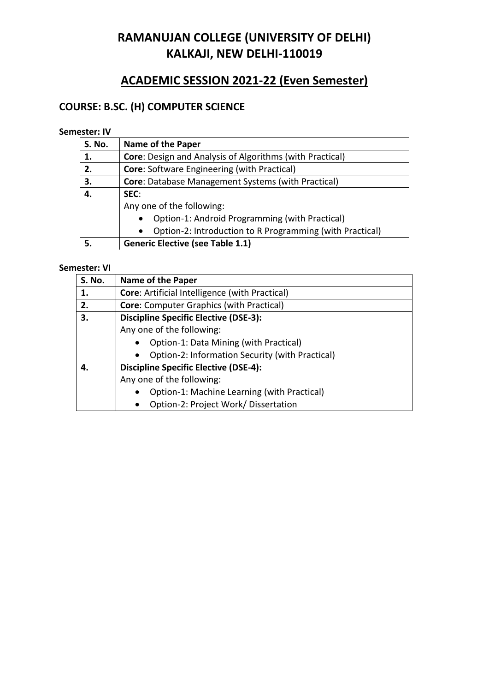# **ACADEMIC SESSION 2021-22 (Even Semester)**

# **COURSE: B.SC. (H) COMPUTER SCIENCE**

## **Semester: IV**

| <b>S. No.</b> | <b>Name of the Paper</b>                                              |  |
|---------------|-----------------------------------------------------------------------|--|
| 1.            | <b>Core:</b> Design and Analysis of Algorithms (with Practical)       |  |
| 2.            | <b>Core: Software Engineering (with Practical)</b>                    |  |
| 3.            | <b>Core:</b> Database Management Systems (with Practical)             |  |
| 4.            | SEC:                                                                  |  |
|               | Any one of the following:                                             |  |
|               | Option-1: Android Programming (with Practical)<br>$\bullet$           |  |
|               | Option-2: Introduction to R Programming (with Practical)<br>$\bullet$ |  |
|               | <b>Generic Elective (see Table 1.1)</b>                               |  |

| S. No. | Name of the Paper                                        |  |
|--------|----------------------------------------------------------|--|
| 1.     | <b>Core: Artificial Intelligence (with Practical)</b>    |  |
| 2.     | Core: Computer Graphics (with Practical)                 |  |
| З.     | <b>Discipline Specific Elective (DSE-3):</b>             |  |
|        | Any one of the following:                                |  |
|        | Option-1: Data Mining (with Practical)<br>$\bullet$      |  |
|        | Option-2: Information Security (with Practical)          |  |
| 4.     | <b>Discipline Specific Elective (DSE-4):</b>             |  |
|        | Any one of the following:                                |  |
|        | Option-1: Machine Learning (with Practical)<br>$\bullet$ |  |
|        | Option-2: Project Work/ Dissertation                     |  |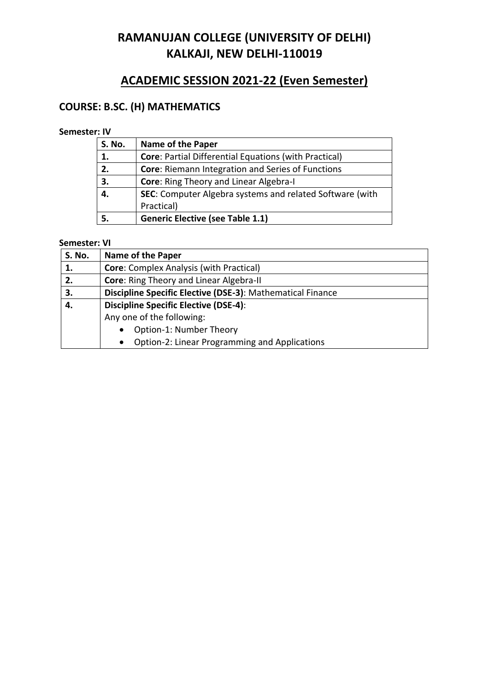# **ACADEMIC SESSION 2021-22 (Even Semester)**

## **COURSE: B.SC. (H) MATHEMATICS**

## **Semester: IV**

| <b>S. No.</b> | <b>Name of the Paper</b>                                     |  |
|---------------|--------------------------------------------------------------|--|
| 1.            | <b>Core: Partial Differential Equations (with Practical)</b> |  |
| 2.            | Core: Riemann Integration and Series of Functions            |  |
| 3.            | <b>Core: Ring Theory and Linear Algebra-I</b>                |  |
| 4.            | SEC: Computer Algebra systems and related Software (with     |  |
|               | Practical)                                                   |  |
|               | <b>Generic Elective (see Table 1.1)</b>                      |  |

| <b>S. No.</b> | <b>Name of the Paper</b>                                   |  |
|---------------|------------------------------------------------------------|--|
| 1.            | <b>Core: Complex Analysis (with Practical)</b>             |  |
| 2.            | Core: Ring Theory and Linear Algebra-II                    |  |
| 3.            | Discipline Specific Elective (DSE-3): Mathematical Finance |  |
| 4.            | <b>Discipline Specific Elective (DSE-4):</b>               |  |
|               | Any one of the following:                                  |  |
|               | Option-1: Number Theory<br>$\bullet$                       |  |
|               | Option-2: Linear Programming and Applications<br>$\bullet$ |  |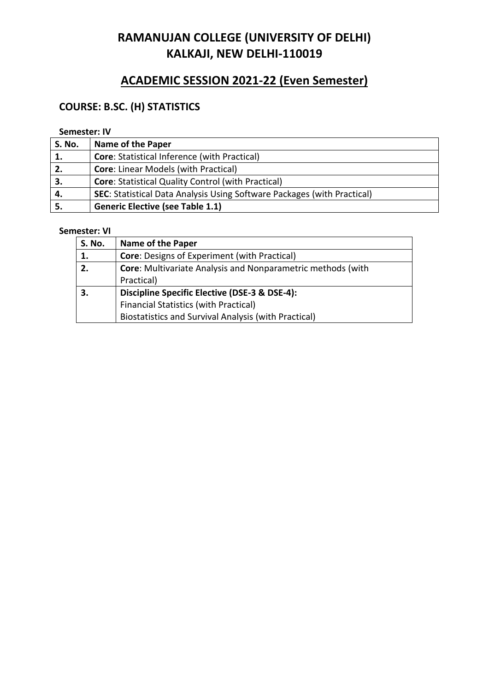# **ACADEMIC SESSION 2021-22 (Even Semester)**

## **COURSE: B.SC. (H) STATISTICS**

## **Semester: IV**

| <b>S. No.</b> | <b>Name of the Paper</b>                                                       |
|---------------|--------------------------------------------------------------------------------|
| 1.            | <b>Core: Statistical Inference (with Practical)</b>                            |
| 2.            | <b>Core: Linear Models (with Practical)</b>                                    |
| З.            | <b>Core: Statistical Quality Control (with Practical)</b>                      |
|               | <b>SEC:</b> Statistical Data Analysis Using Software Packages (with Practical) |
|               | <b>Generic Elective (see Table 1.1)</b>                                        |

| <b>S. No.</b> | <b>Name of the Paper</b>                                           |  |
|---------------|--------------------------------------------------------------------|--|
| 1.            | <b>Core:</b> Designs of Experiment (with Practical)                |  |
| 2.            | <b>Core:</b> Multivariate Analysis and Nonparametric methods (with |  |
|               | Practical)                                                         |  |
| 3.            | Discipline Specific Elective (DSE-3 & DSE-4):                      |  |
|               | <b>Financial Statistics (with Practical)</b>                       |  |
|               | Biostatistics and Survival Analysis (with Practical)               |  |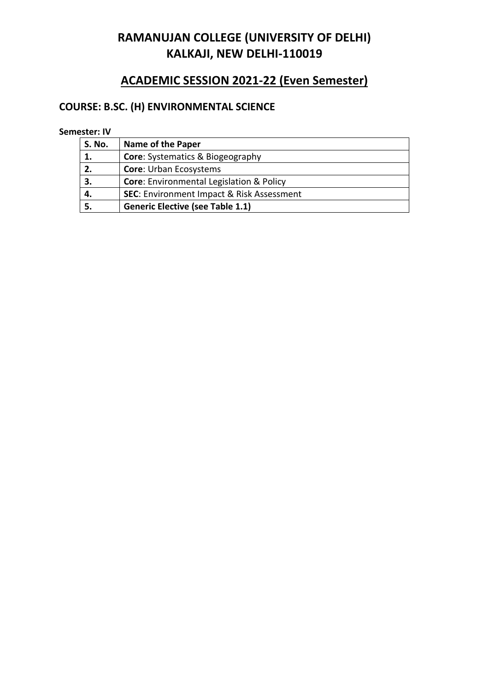# **ACADEMIC SESSION 2021-22 (Even Semester)**

# **COURSE: B.SC. (H) ENVIRONMENTAL SCIENCE**

| <b>S. No.</b> | <b>Name of the Paper</b>                             |
|---------------|------------------------------------------------------|
| 1.            | <b>Core:</b> Systematics & Biogeography              |
| 2.            | <b>Core: Urban Ecosystems</b>                        |
| 3.            | <b>Core:</b> Environmental Legislation & Policy      |
| 4.            | <b>SEC: Environment Impact &amp; Risk Assessment</b> |
|               | <b>Generic Elective (see Table 1.1)</b>              |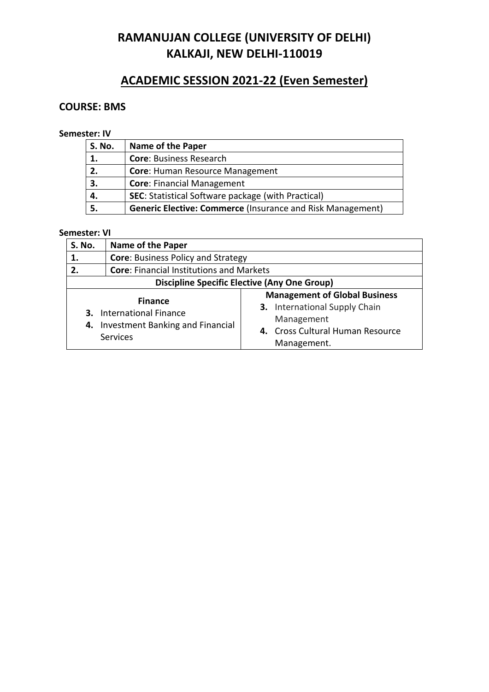## **ACADEMIC SESSION 2021-22 (Even Semester)**

## **COURSE: BMS**

### **Semester: IV**

| <b>S. No.</b> | <b>Name of the Paper</b>                                          |  |
|---------------|-------------------------------------------------------------------|--|
| 1.            | <b>Core: Business Research</b>                                    |  |
| 2.            | <b>Core: Human Resource Management</b>                            |  |
| 3.            | <b>Core: Financial Management</b>                                 |  |
| 4.            | <b>SEC:</b> Statistical Software package (with Practical)         |  |
| 5.            | <b>Generic Elective: Commerce (Insurance and Risk Management)</b> |  |

| S. No.                                              | <b>Name of the Paper</b>                                                                                 |                                                                                                                                               |  |
|-----------------------------------------------------|----------------------------------------------------------------------------------------------------------|-----------------------------------------------------------------------------------------------------------------------------------------------|--|
| 1.                                                  |                                                                                                          | <b>Core: Business Policy and Strategy</b>                                                                                                     |  |
| 2.                                                  | <b>Core: Financial Institutions and Markets</b>                                                          |                                                                                                                                               |  |
| <b>Discipline Specific Elective (Any One Group)</b> |                                                                                                          |                                                                                                                                               |  |
| 4.                                                  | <b>Finance</b><br><b>3.</b> International Finance<br>Investment Banking and Financial<br><b>Services</b> | <b>Management of Global Business</b><br><b>3.</b> International Supply Chain<br>Management<br>4. Cross Cultural Human Resource<br>Management. |  |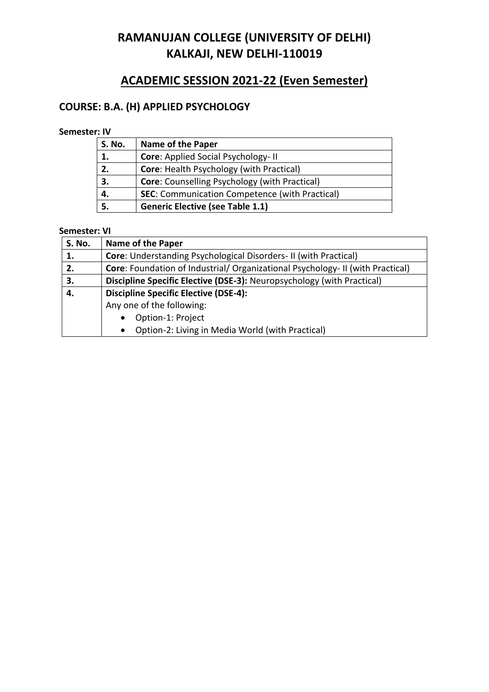# **ACADEMIC SESSION 2021-22 (Even Semester)**

## **COURSE: B.A. (H) APPLIED PSYCHOLOGY**

## **Semester: IV**

| <b>S. No.</b> | <b>Name of the Paper</b>                              |  |
|---------------|-------------------------------------------------------|--|
| 1.            | <b>Core: Applied Social Psychology-II</b>             |  |
| 2.            | <b>Core: Health Psychology (with Practical)</b>       |  |
| 3.            | <b>Core:</b> Counselling Psychology (with Practical)  |  |
| 4.            | <b>SEC:</b> Communication Competence (with Practical) |  |
|               | <b>Generic Elective (see Table 1.1)</b>               |  |

| <b>S. No.</b> | <b>Name of the Paper</b>                                                       |  |
|---------------|--------------------------------------------------------------------------------|--|
| 1.            | <b>Core:</b> Understanding Psychological Disorders-II (with Practical)         |  |
| 2.            | Core: Foundation of Industrial/ Organizational Psychology- II (with Practical) |  |
| 3.            | Discipline Specific Elective (DSE-3): Neuropsychology (with Practical)         |  |
| 4.            | <b>Discipline Specific Elective (DSE-4):</b>                                   |  |
|               | Any one of the following:                                                      |  |
|               | Option-1: Project<br>$\bullet$                                                 |  |
|               | Option-2: Living in Media World (with Practical)<br>$\bullet$                  |  |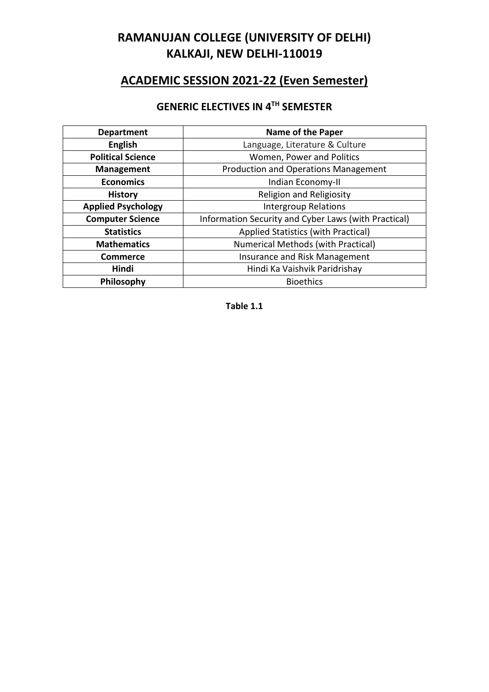# **ACADEMIC SESSION 2021-22 (Even Semester)**

## **GENERIC ELECTIVES IN 4 TH SEMESTER**

| <b>Department</b>         | <b>Name of the Paper</b>                             |
|---------------------------|------------------------------------------------------|
| <b>English</b>            | Language, Literature & Culture                       |
| <b>Political Science</b>  | Women, Power and Politics                            |
| <b>Management</b>         | <b>Production and Operations Management</b>          |
| <b>Economics</b>          | Indian Economy-II                                    |
| <b>History</b>            | Religion and Religiosity                             |
| <b>Applied Psychology</b> | <b>Intergroup Relations</b>                          |
| <b>Computer Science</b>   | Information Security and Cyber Laws (with Practical) |
| <b>Statistics</b>         | Applied Statistics (with Practical)                  |
| <b>Mathematics</b>        | <b>Numerical Methods (with Practical)</b>            |
| <b>Commerce</b>           | Insurance and Risk Management                        |
| Hindi                     | Hindi Ka Vaishvik Paridrishay                        |
| Philosophy                | <b>Bioethics</b>                                     |

**Table 1.1**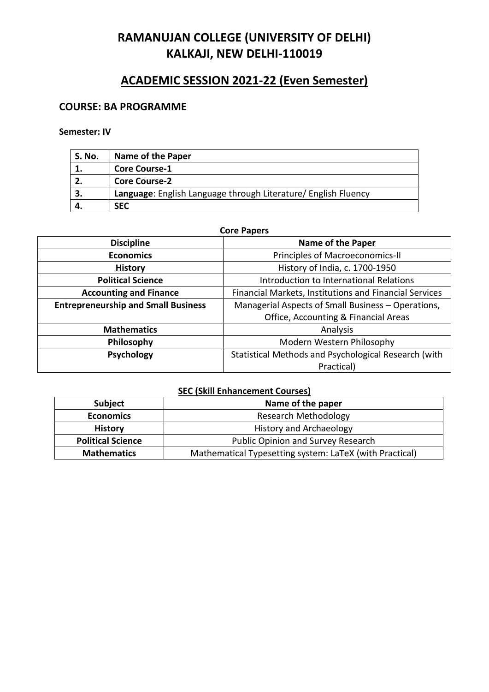# **ACADEMIC SESSION 2021-22 (Even Semester)**

## **COURSE: BA PROGRAMME**

### **Semester: IV**

| S. No. | Name of the Paper                                              |
|--------|----------------------------------------------------------------|
|        | <b>Core Course-1</b>                                           |
|        | <b>Core Course-2</b>                                           |
|        | Language: English Language through Literature/ English Fluency |
|        | <b>SEC</b>                                                     |

| <b>Core Papers</b>                         |                                                        |  |
|--------------------------------------------|--------------------------------------------------------|--|
| <b>Discipline</b>                          | <b>Name of the Paper</b>                               |  |
| <b>Economics</b>                           | Principles of Macroeconomics-II                        |  |
| <b>History</b>                             | History of India, c. 1700-1950                         |  |
| <b>Political Science</b>                   | Introduction to International Relations                |  |
| <b>Accounting and Finance</b>              | Financial Markets, Institutions and Financial Services |  |
| <b>Entrepreneurship and Small Business</b> | Managerial Aspects of Small Business - Operations,     |  |
|                                            | Office, Accounting & Financial Areas                   |  |
| <b>Mathematics</b>                         | Analysis                                               |  |
| Philosophy                                 | Modern Western Philosophy                              |  |
| <b>Psychology</b>                          | Statistical Methods and Psychological Research (with   |  |
|                                            | Practical)                                             |  |

## **SEC (Skill Enhancement Courses)**

| <b>Subject</b>           | Name of the paper                                       |
|--------------------------|---------------------------------------------------------|
| <b>Economics</b>         | <b>Research Methodology</b>                             |
| <b>History</b>           | <b>History and Archaeology</b>                          |
| <b>Political Science</b> | Public Opinion and Survey Research                      |
| <b>Mathematics</b>       | Mathematical Typesetting system: LaTeX (with Practical) |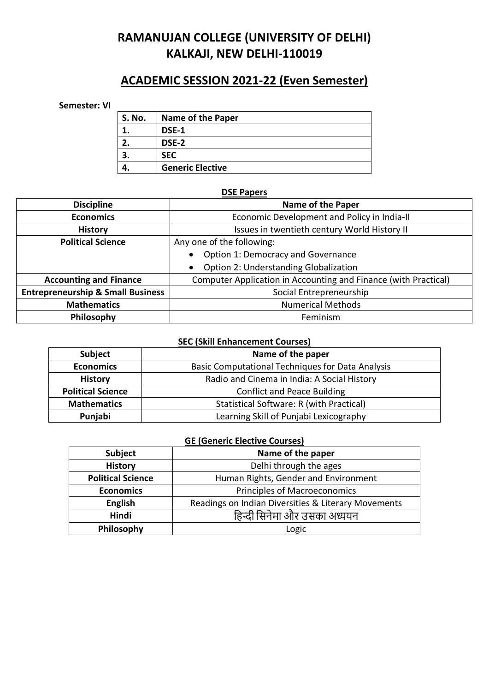## **ACADEMIC SESSION 2021-22 (Even Semester)**

#### **Semester: VI**

| S. No. | <b>Name of the Paper</b> |
|--------|--------------------------|
|        | DSE-1                    |
|        | DSE-2                    |
|        | <b>SEC</b>               |
|        | <b>Generic Elective</b>  |

#### **DSE Papers**

| <b>Name of the Paper</b><br><b>Discipline</b>  |                                                                 |  |
|------------------------------------------------|-----------------------------------------------------------------|--|
| <b>Economics</b>                               | Economic Development and Policy in India-II                     |  |
| <b>History</b>                                 | Issues in twentieth century World History II                    |  |
| <b>Political Science</b>                       | Any one of the following:                                       |  |
|                                                | Option 1: Democracy and Governance<br>$\bullet$                 |  |
|                                                | <b>Option 2: Understanding Globalization</b>                    |  |
| <b>Accounting and Finance</b>                  | Computer Application in Accounting and Finance (with Practical) |  |
| <b>Entrepreneurship &amp; Small Business</b>   | Social Entrepreneurship                                         |  |
| <b>Numerical Methods</b><br><b>Mathematics</b> |                                                                 |  |
| Philosophy<br>Feminism                         |                                                                 |  |

### **SEC (Skill Enhancement Courses)**

| <b>Subject</b>           | Name of the paper                                       |
|--------------------------|---------------------------------------------------------|
| <b>Economics</b>         | <b>Basic Computational Techniques for Data Analysis</b> |
| <b>History</b>           | Radio and Cinema in India: A Social History             |
| <b>Political Science</b> | <b>Conflict and Peace Building</b>                      |
| <b>Mathematics</b>       | Statistical Software: R (with Practical)                |
| Punjabi                  | Learning Skill of Punjabi Lexicography                  |

### **GE (Generic Elective Courses)**

| Subject                  | Name of the paper                                   |
|--------------------------|-----------------------------------------------------|
| <b>History</b>           | Delhi through the ages                              |
| <b>Political Science</b> | Human Rights, Gender and Environment                |
| <b>Economics</b>         | <b>Principles of Macroeconomics</b>                 |
| <b>English</b>           | Readings on Indian Diversities & Literary Movements |
| <b>Hindi</b>             | हिन्दी सिनेमा और उसका अध्ययन                        |
| Philosophy               | Logic                                               |